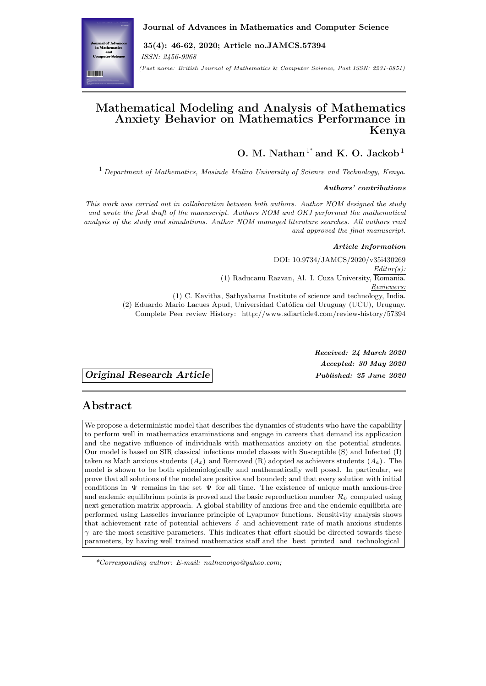# **Mathematical Modeling and Analysis of Mathematics Anxiety Behavior on Mathematics Performance in Kenya**

**O. M. Nathan**<sup>1</sup> *∗* **and K. O. Jackob**<sup>1</sup>

<sup>1</sup> *Department of Mathematics, Masinde Muliro University of Science and Technology, Kenya.*

#### *Authors' contributions*

*This work was carried out in collaboration between both authors. Author NOM designed the study and wrote the first draft of the manuscript. Authors NOM and OKJ performed the mathematical analysis of the study and simulations. Author NOM managed literature searches. All authors read and approved the final manuscript.*

#### *Article Information*

DOI: 10.9734/JAMCS/2020/v35i430269 *Editor(s):* (1) Raducanu Razvan, Al. I. Cuza University, Romania. *Reviewers:* (1) C. Kavitha, Sathyabama Institute of science and technology, India. (2) Eduardo Mario Lacues Apud, Universidad Católica del Uruguay (UCU), Uruguay. Complete Peer review History: http://www.sdiarticle4.com/review-history/57394

*Original Research Article Published: 25 June 2020*

*[Received: 24 March 2020](http://www.sdiarticle4.com/review-history/57394) Accepted: 30 May 2020*

## **Abstract**

We propose a deterministic model that describes the dynamics of students who have the capability to perform well in mathematics examinations and engage in careers that demand its application and the negative influence of individuals with mathematics anxiety on the potential students. Our model is based on SIR classical infectious model classes with Susceptible (S) and Infected (I) taken as Math anxious students  $(A_x)$  and Removed  $(R)$  adopted as achievers students  $(A_a)$ . The model is shown to be both epidemiologically and mathematically well posed. In particular, we prove that all solutions of the model are positive and bounded; and that every solution with initial conditions in  $\Psi$  remains in the set  $\Psi$  for all time. The existence of unique math anxious-free and endemic equilibrium points is proved and the basic reproduction number  $\mathcal{R}_0$  computed using next generation matrix approach. A global stability of anxious-free and the endemic equilibria are performed using Lasselles invariance principle of Lyapunov functions. Sensitivity analysis shows that achievement rate of potential achievers  $\delta$  and achievement rate of math anxious students  $\gamma$  are the most sensitive parameters. This indicates that effort should be directed towards these parameters, by having well trained mathematics staff and the best printed and technological

*<sup>\*</sup>Corresponding author: E-mail: nathanoigo@yahoo.com;*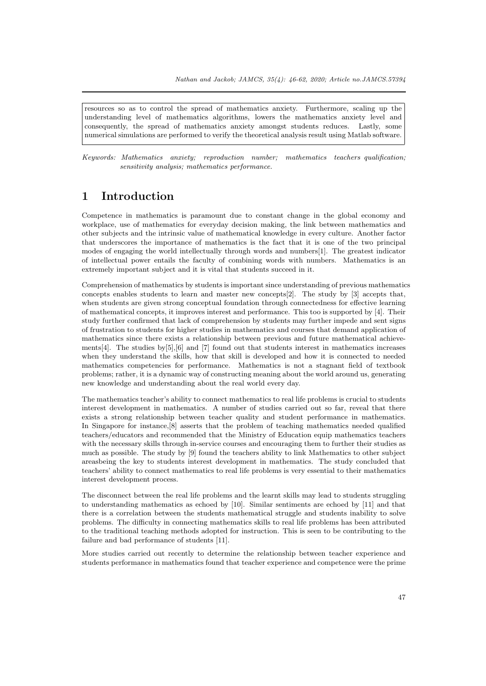resources so as to control the spread of mathematics anxiety. Furthermore, scaling up the understanding level of mathematics algorithms, lowers the mathematics anxiety level and consequently, the spread of mathematics anxiety amongst students reduces. Lastly, some numerical simulations are performed to verify the theoretical analysis result using Matlab software.

*Keywords: Mathematics anxiety; reproduction number; mathematics teachers qualification; sensitivity analysis; mathematics performance.*

## **1 Introduction**

Competence in mathematics is paramount due to constant change in the global economy and workplace, use of mathematics for everyday decision making, the link between mathematics and other subjects and the intrinsic value of mathematical knowledge in every culture. Another factor that underscores the importance of mathematics is the fact that it is one of the two principal modes of engaging the world intellectually through words and numbers[1]. The greatest indicator of intellectual power entails the faculty of combining words with numbers. Mathematics is an extremely important subject and it is vital that students succeed in it.

Comprehension of mathematics by students is important since understanding of previous mathematics concepts enables students to learn and master new concepts[2]. The [st](#page-14-0)udy by [3] accepts that, when students are given strong conceptual foundation through connectedness for effective learning of mathematical concepts, it improves interest and performance. This too is supported by [4]. Their study further confirmed that lack of comprehension by students may further impede and sent signs of frustration to students for higher studies in mathematics and courses that demand application of mathematics since there exists a relationship between previou[s](#page-15-0) and future mathe[m](#page-15-1)atical achievements[4]. The studies by  $[5]$ ,  $[6]$  and  $[7]$  found out that students interest in mathematics increases when they understand the skills, how that skill is developed and how it is connected t[o](#page-15-2) needed mathematics competencies for performance. Mathematics is not a stagnant field of textbook problems; rather, it is a dynamic way of constructing meaning about the world around us, generating new k[no](#page-15-2)wledge and under[st](#page-15-3)a[nd](#page-15-4)ing a[bo](#page-15-5)ut the real world every day.

The mathematics teacher's ability to connect mathematics to real life problems is crucial to students interest development in mathematics. A number of studies carried out so far, reveal that there exists a strong relationship between teacher quality and student performance in mathematics. In Singapore for instance,[8] asserts that the problem of teaching mathematics needed qualified teachers/educators and recommended that the Ministry of Education equip mathematics teachers with the necessary skills through in-service courses and encouraging them to further their studies as much as possible. The study by [9] found the teachers ability to link Mathematics to other subject areasbeing the key to students interest development in mathematics. The study concluded that teachers' ability to connect [m](#page-15-6)athematics to real life problems is very essential to their mathematics interest development process.

The disconnect between the real [li](#page-15-7)fe problems and the learnt skills may lead to students struggling to understanding mathematics as echoed by [10]. Similar sentiments are echoed by [11] and that there is a correlation between the students mathematical struggle and students inability to solve problems. The difficulty in connecting mathematics skills to real life problems has been attributed to the traditional teaching methods adopted for instruction. This is seen to be contributing to the failure and bad performance of students [11].

More studies carried out recently to determine the relationship between teacher experience and students performance in mathematics found that teacher experience and competence were the prime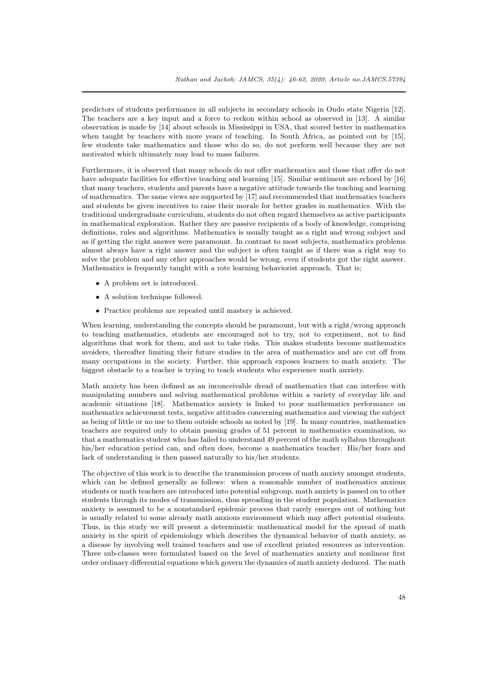predictors of students performance in all subjects in secondary schools in Ondo state Nigeria [12]. The teachers are a key input and a force to reckon within school as observed in [13]. A similar observation is made by [14] about schools in Mississippi in USA, that scored better in mathematics when taught by teachers with more years of teaching. In South Africa, as pointed out by [15], few students take mathematics and those who do so, do not perform well because they are [no](#page-15-8)t motivated which ultimately may lead to mass failures.

Furthermore, it is obser[ved](#page-15-9) that many schools do not offer mathematics and those that offer do not have adequate facilities for effective teaching and learning [15]. Similar sentiment are echoed by [\[16](#page-15-10)] that many teachers, students and parents have a negative attitude towards the teaching and learning of mathematics. The same views are supported by [17] and recommended that mathematics teachers and students be given incentives to raise their morale for better grades in mathematics. With the traditional undergraduate curriculum, students do not often regard themselves as active participants in mathematical exploration. Rather they are passive reci[pien](#page-15-10)ts of a body of knowledge, compris[ing](#page-15-11) definitions, rules and algorithms. Mathematics is usually taught as a right and wrong subject and as if getting the right answer were paramount. In [con](#page-15-12)trast to most subjects, mathematics problems almost always have a right answer and the subject is often taught as if there was a right way to solve the problem and any other approaches would be wrong, even if students got the right answer. Mathematics is frequently taught with a rote learning behaviorist approach. That is;

- *•* A problem set is introduced.
- *•* A solution technique followed.
- *•* Practice problems are repeated until mastery is achieved.

When learning, understanding the concepts should be paramount, but with a right/wrong approach to teaching mathematics, students are encouraged not to try, not to experiment, not to find algorithms that work for them, and not to take risks. This makes students become mathematics avoiders, thereafter limiting their future studies in the area of mathematics and are cut off from many occupations in the society. Further, this approach exposes learners to math anxiety. The biggest obstacle to a teacher is trying to teach students who experience math anxiety.

Math anxiety has been defined as an inconceivable dread of mathematics that can interfere with manipulating numbers and solving mathematical problems within a variety of everyday life and academic situations [18]. Mathematics anxiety is linked to poor mathematics performance on mathematics achievement tests, negative attitudes concerning mathematics and viewing the subject as being of little or no use to them outside schools as noted by [19]. In many countries, mathematics teachers are required only to obtain passing grades of 51 percent in mathematics examination, so that a mathematics student who has failed to understand 49 percent of the math syllabus throughout his/her education pe[riod](#page-16-0) can, and often does, become a mathematics teacher. His/her fears and lack of understanding is then passed naturally to his/her stud[ent](#page-16-1)s.

The objective of this work is to describe the transmission process of math anxiety amongst students, which can be defined generally as follows: when a reasonable number of mathematics anxious students or math teachers are introduced into potential subgroup, math anxiety is passed on to other students through its modes of transmission, thus spreading in the student population. Mathematics anxiety is assumed to be a nonstandard epidemic process that rarely emerges out of nothing but is usually related to some already math anxious environment which may affect potential students. Thus, in this study we will present a deterministic mathematical model for the spread of math anxiety in the spirit of epidemiology which describes the dynamical behavior of math anxiety, as a disease by involving well trained teachers and use of excellent printed resources as intervention. Three sub-classes were formulated based on the level of mathematics anxiety and nonlinear first order ordinary differential equations which govern the dynamics of math anxiety deduced. The math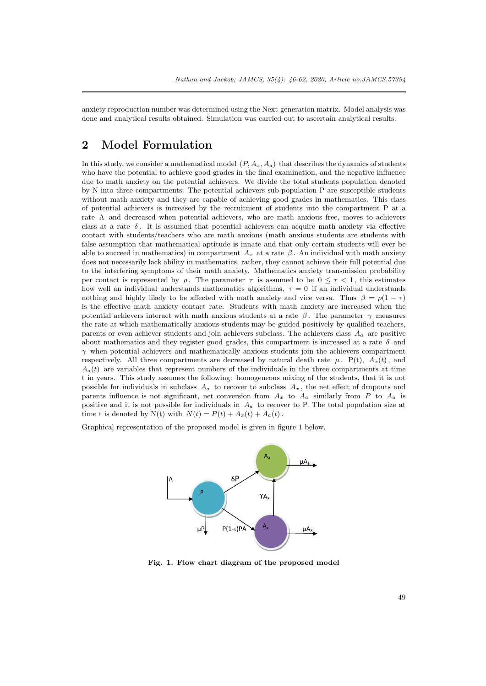anxiety reproduction number was determined using the Next-generation matrix. Model analysis was done and analytical results obtained. Simulation was carried out to ascertain analytical results.

# **2 Model Formulation**

In this study, we consider a mathematical model  $(P, A_x, A_a)$  that describes the dynamics of students who have the potential to achieve good grades in the final examination, and the negative influence due to math anxiety on the potential achievers. We divide the total students population denoted by N into three compartments: The potential achievers sub-population P are susceptible students without math anxiety and they are capable of achieving good grades in mathematics. This class of potential achievers is increased by the recruitment of students into the compartment P at a rate  $\Lambda$  and decreased when potential achievers, who are math anxious free, moves to achievers class at a rate *δ* . It is assumed that potential achievers can acquire math anxiety via effective contact with students/teachers who are math anxious (math anxious students are students with false assumption that mathematical aptitude is innate and that only certain students will ever be able to succeed in mathematics) in compartment  $A_x$  at a rate  $\beta$ . An individual with math anxiety does not necessarily lack ability in mathematics, rather, they cannot achieve their full potential due to the interfering symptoms of their math anxiety. Mathematics anxiety transmission probability per contact is represented by  $\rho$ . The parameter  $\tau$  is assumed to be  $0 \leq \tau < 1$ , this estimates how well an individual understands mathematics algorithms,  $\tau = 0$  if an individual understands nothing and highly likely to be affected with math anxiety and vice versa. Thus  $\beta = \rho(1 - \tau)$ is the effective math anxiety contact rate. Students with math anxiety are increased when the potential achievers interact with math anxious students at a rate  $\beta$ . The parameter  $\gamma$  measures the rate at which mathematically anxious students may be guided positively by qualified teachers, parents or even achiever students and join achievers subclass. The achievers class *A<sup>a</sup>* are positive about mathematics and they register good grades, this compartment is increased at a rate *δ* and  $\gamma$  when potential achievers and mathematically anxious students join the achievers compartment respectively. All three compartments are decreased by natural death rate  $\mu$ . P(t),  $A_x(t)$ , and  $A_a(t)$  are variables that represent numbers of the individuals in the three compartments at time t in years. This study assumes the following: homogeneous mixing of the students, that it is not possible for individuals in subclass  $A_a$  to recover to subclass  $A_x$ , the net effect of dropouts and parents influence is not significant, net conversion from *A<sup>x</sup>* to *A<sup>a</sup>* similarly from *P* to *A<sup>a</sup>* is positive and it is not possible for individuals in *A<sup>a</sup>* to recover to P. The total population size at time t is denoted by  $N(t)$  with  $N(t) = P(t) + A_x(t) + A_a(t)$ .

Graphical representation of the proposed model is given in figure 1 below.



**Fig. 1. Flow chart diagram of the proposed model**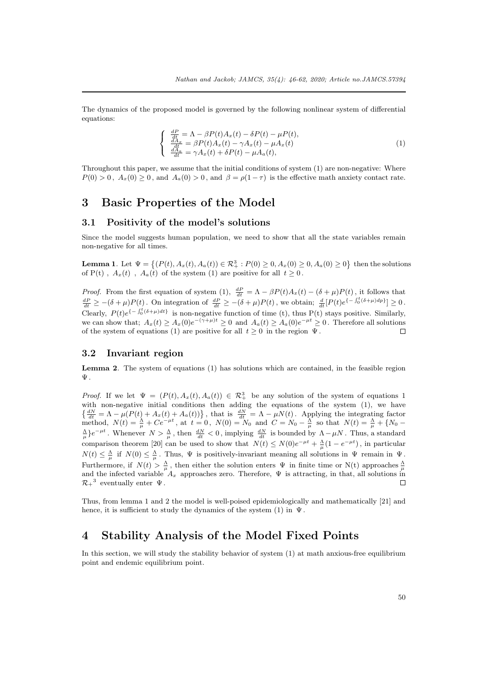The dynamics of the proposed model is governed by the following nonlinear system of differential equations:

$$
\begin{cases}\n\frac{dP}{dt} = \Lambda - \beta P(t) A_x(t) - \delta P(t) - \mu P(t), \n\frac{dA_x}{dt} = \beta P(t) A_x(t) - \gamma A_x(t) - \mu A_x(t) \n\frac{dA_x}{dt} = \gamma A_x(t) + \delta P(t) - \mu A_a(t),\n\end{cases}
$$
\n(1)

Throughout this paper, we assume that the initial conditions of system (1) are non-negative: Where  $P(0) > 0$ ,  $A_x(0) \ge 0$ , and  $A_a(0) > 0$ , and  $\beta = \rho(1-\tau)$  is the effective math anxiety contact rate.

## **3 Basic Properties of the Model**

#### **3.1 Positivity of the model's solutions**

Since the model suggests human population, we need to show that all the state variables remain non-negative for all times.

**Lemma 1**. Let  $\Psi = \{(P(t), A_x(t), A_a(t)) \in \mathcal{R}_+^3 : P(0) \ge 0, A_x(0) \ge 0, A_a(0) \ge 0\}$  then the solutions of P(t),  $A_x(t)$ ,  $A_a(t)$  of the system (1) are positive for all  $t \geq 0$ .

*Proof.* From the first equation of system (1),  $\frac{dP}{dt} = \Lambda - \beta P(t)A_x(t) - (\delta + \mu)P(t)$ , it follows that  $\frac{dP}{dt} \geq -(\delta + \mu)P(t)$ . On integration of  $\frac{dP}{dt} \geq -(\delta + \mu)P(t)$ , we obtain;  $\frac{d}{dt}[P(t)e^{\{-\int_0^t (\delta + \mu)dp\}}] \geq 0$ . Clearly,  $P(t)e^{\{-\int_0^t (\delta+\mu)dt\}}$  is non-negative function of time (t), thus P(t) stays positive. Similarly, we can show that;  $A_x(t) \ge A_x(0)e^{-(\gamma+\mu)t} \ge 0$  and  $A_a(t) \ge A_a(0)e^{-\mu t} \ge 0$ . Therefore all solutions of the system of equations (1) are positive for all  $t \geq 0$  in the region  $\Psi$ .  $\Box$ 

#### **3.2 Invariant region**

**Lemma 2***.* The system of equations (1) has solutions which are contained, in the feasible region Ψ .

*Proof.* If we let  $\Psi = (P(t), A_x(t), A_a(t)) \in \mathbb{R}^3_+$  be any solution of the system of equations 1 with non-negative initial conditions then adding the equations of the system  $(1)$ , we have  $\left\{ \frac{dN}{dt} = \Lambda - \mu(P(t) + A_x(t) + A_a(t)) \right\}$ , that is  $\frac{dN}{dt} = \Lambda - \mu N(t)$ . Applying the integrating factor method,  $N(t) = \frac{\Lambda}{\mu} + Ce^{-\mu t}$ , at  $t = 0$ ,  $N(0) = N_0$  and  $C = N_0 - \frac{\Lambda}{\mu}$  so that  $N(t) = \frac{\Lambda}{\mu} + \{N_0 \frac{\Delta}{\mu}$ } $e^{-\mu t}$ . Whenever  $N > \frac{\Delta}{\mu}$ , then  $\frac{dN}{dt} < 0$ , implying  $\frac{dN}{dt}$  is bounded by  $\Lambda - \mu N$ . Thus, a standard comparison theorem [20] can be used to show that  $N(t) \leq N(0)e^{-\mu t} + \frac{\Lambda}{\mu}(1 - e^{-\mu t})$ , in particular  $N(t) \leq \frac{\Lambda}{\mu}$  if  $N(0) \leq \frac{\Lambda}{\mu}$ . Thus,  $\Psi$  is positively-invariant meaning all solutions in  $\Psi$  remain in  $\Psi$ . Furthermore, if  $N(t) > \frac{\Lambda}{\mu}$ , then either the solution enters  $\Psi$  in finite time or  $N(t)$  approaches  $\frac{\Lambda}{\mu}$  and the infected variable  $A_x$  approaches zero. Therefore,  $\Psi$  is attracting, in that, all solutions in  $\mathcal{R}_+^3$  eventually enter  $\Psi$ . П

Thus, from lemma 1 and 2 the model is well-poised epidemiologically and mathematically [21] and hence, it is sufficient to study the dynamics of the system  $(1)$  in  $\Psi$ .

## **4 Stability Analysis of the Model Fixed Points**

In this section, we will study the stability behavior of system (1) at math anxious-free equilibrium point and endemic equilibrium point.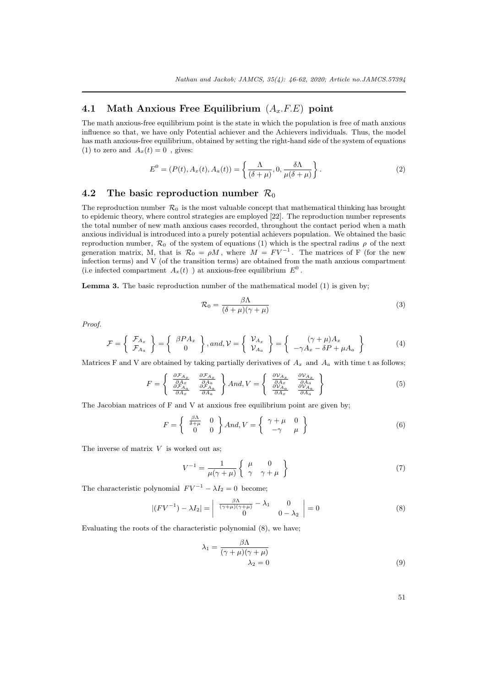### **4.1 Math Anxious Free Equilibrium** (*Ax.F.E*) **point**

The math anxious-free equilibrium point is the state in which the population is free of math anxious influence so that, we have only Potential achiever and the Achievers individuals. Thus, the model has math anxious-free equilibrium, obtained by setting the right-hand side of the system of equations (1) to zero and  $A_x(t) = 0$ , gives:

$$
E^{0} = (P(t), A_{x}(t), A_{a}(t)) = \left\{ \frac{\Lambda}{(\delta + \mu)}, 0, \frac{\delta \Lambda}{\mu(\delta + \mu)} \right\}.
$$
 (2)

### **4.2** The basic reproduction number  $\mathcal{R}_0$

The reproduction number  $\mathcal{R}_0$  is the most valuable concept that mathematical thinking has brought to epidemic theory, where control strategies are employed [22]. The reproduction number represents the total number of new math anxious cases recorded, throughout the contact period when a math anxious individual is introduced into a purely potential achievers population. We obtained the basic reproduction number,  $\mathcal{R}_0$  of the system of equations (1) which is the spectral radius  $\rho$  of the next generation matrix, M, that is  $\mathcal{R}_0 = \rho M$ , where  $M = FV^{-1}$ . The matrices of F (for the new infection terms) and V (of the transition terms) are obtai[ned](#page-16-3) from the math anxious compartment (i.e infected compartment  $A_x(t)$ ) at anxious-free equilibrium  $E^0$ .

**Lemma 3.** The basic reproduction number of the mathematical model (1) is given by;

$$
\mathcal{R}_0 = \frac{\beta \Lambda}{(\delta + \mu)(\gamma + \mu)}\tag{3}
$$

*Proof.*

$$
\mathcal{F} = \left\{ \begin{array}{c} \mathcal{F}_{A_x} \\ \mathcal{F}_{A_a} \end{array} \right\} = \left\{ \begin{array}{c} \beta P A_x \\ 0 \end{array} \right\}, and, \mathcal{V} = \left\{ \begin{array}{c} \mathcal{V}_{A_x} \\ \mathcal{V}_{A_a} \end{array} \right\} = \left\{ \begin{array}{c} (\gamma + \mu) A_x \\ -\gamma A_x - \delta P + \mu A_a \end{array} \right\} \tag{4}
$$

Matrices F and V are obtained by taking partially derivatives of  $A_x$  and  $A_a$  with time t as follows;

$$
F = \begin{Bmatrix} \frac{\partial \mathcal{F}_{A_x}}{\partial A_x} & \frac{\partial \mathcal{F}_{A_x}}{\partial A_a} \\ \frac{\partial \mathcal{F}_{A_x}}{\partial A_x} & \frac{\partial \mathcal{F}_{A_a}}{\partial A_a} \end{Bmatrix} And, V = \begin{Bmatrix} \frac{\partial V_{A_x}}{\partial A_x} & \frac{\partial V_{A_x}}{\partial A_a} \\ \frac{\partial V_{A_x}}{\partial A_x} & \frac{\partial V_{A_a}}{\partial A_a} \end{Bmatrix}
$$
(5)

The Jacobian matrices of F and V at anxious free equilibrium point are given by;

$$
F = \begin{cases} \frac{\beta \Lambda}{\delta + \mu} & 0\\ 0 & 0 \end{cases} And, V = \begin{cases} \gamma + \mu & 0\\ -\gamma & \mu \end{cases}
$$
 (6)

The inverse of matrix *V* is worked out as;

$$
V^{-1} = \frac{1}{\mu(\gamma + \mu)} \left\{ \begin{array}{cc} \mu & 0 \\ \gamma & \gamma + \mu \end{array} \right\} \tag{7}
$$

The characteristic polynomial  $F V^{-1} - \lambda I_2 = 0$  become;

$$
|(F V^{-1}) - \lambda I_2| = \begin{vmatrix} \frac{\beta \Lambda}{(\gamma + \mu)(\gamma + \mu)} - \lambda_1 & 0\\ 0 & 0 - \lambda_2 \end{vmatrix} = 0
$$
 (8)

Evaluating the roots of the characteristic polynomial (8), we have;

$$
\lambda_1 = \frac{\beta \Lambda}{(\gamma + \mu)(\gamma + \mu)}
$$
  

$$
\lambda_2 = 0
$$
 (9)

51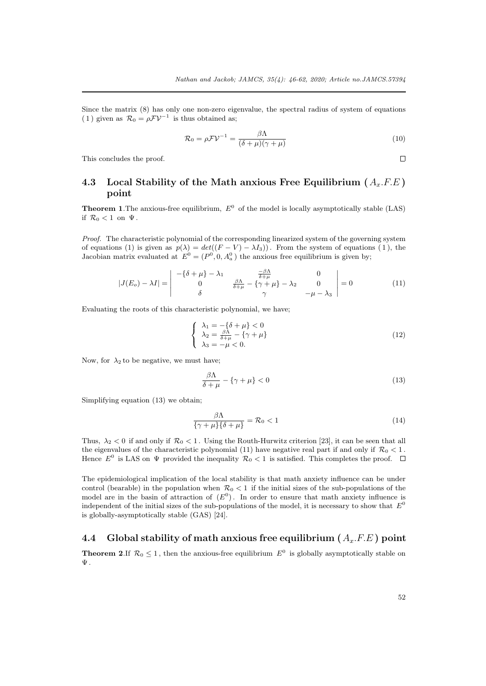Since the matrix (8) has only one non-zero eigenvalue, the spectral radius of system of equations (1) given as  $\mathcal{R}_0 = \rho \mathcal{F} \mathcal{V}^{-1}$  is thus obtained as;

$$
\mathcal{R}_0 = \rho \mathcal{F} \mathcal{V}^{-1} = \frac{\beta \Lambda}{(\delta + \mu)(\gamma + \mu)} \tag{10}
$$

This concludes the proof.

## **4.3 Local Stability of the Math anxious Free Equilibrium (***Ax.F.E* **) point**

**Theorem 1.** The anxious-free equilibrium,  $E^0$  of the model is locally asymptotically stable (LAS) if  $\mathcal{R}_0 < 1$  on  $\Psi$ .

*Proof.* The characteristic polynomial of the corresponding linearized system of the governing system of equations (1) is given as  $p(\lambda) = det((F - V) - \lambda I_3)$ . From the system of equations (1), the Jacobian matrix evaluated at  $E^0 = (P^0, 0, A_a^0)$  the anxious free equilibrium is given by;

$$
|J(E_o) - \lambda I| = \begin{vmatrix} -\{\delta + \mu\} - \lambda_1 & \frac{-\beta \Lambda}{\delta + \mu} & 0\\ 0 & \frac{\beta \Lambda}{\delta + \mu} - \{\gamma + \mu\} - \lambda_2 & 0\\ \delta & \gamma & -\mu - \lambda_3 \end{vmatrix} = 0
$$
 (11)

Evaluating the roots of this characteristic polynomial, we have;

$$
\begin{cases}\n\lambda_1 = -\{\delta + \mu\} < 0 \\
\lambda_2 = \frac{\beta \Lambda}{\delta + \mu} - \{\gamma + \mu\} \\
\lambda_3 = -\mu < 0.\n\end{cases} \tag{12}
$$

Now, for  $\lambda_2$  to be negative, we must have;

$$
\frac{\beta \Lambda}{\delta + \mu} - \{ \gamma + \mu \} < 0 \tag{13}
$$

Simplifying equation (13) we obtain;

$$
\frac{\beta \Lambda}{\{\gamma + \mu\} \{\delta + \mu\}} = \mathcal{R}_0 < 1 \tag{14}
$$

Thus,  $\lambda_2 < 0$  if and only if  $\mathcal{R}_0 < 1$ . Using the Routh-Hurwitz criterion [23], it can be seen that all the eigenvalues of the characteristic polynomial (11) have negative real part if and only if  $\mathcal{R}_0 < 1$ . Hence  $E^0$  is LAS on  $\Psi$  provided the inequality  $\mathcal{R}_0 < 1$  is satisfied. This completes the proof.

The epidemiological implication of the local stability is that math anxi[ety](#page-16-4) influence can be under control (bearable) in the population when  $\mathcal{R}_0 < 1$  if the initial sizes of the sub-populations of the model are in the basin of attraction of  $(E^0)$ . In order to ensure that math anxiety influence is independent of the initial sizes of the sub-populations of the model, it is necessary to show that *E* 0 is globally-asymptotically stable (GAS) [24].

## **4.4 Global stability of math anxious free equilibrium (** *Ax.F.E* **) point**

**Theorem 2.**If  $\mathcal{R}_0 \leq 1$ , then the anxiou[s-fr](#page-16-5)ee equilibrium  $E^0$  is globally asymptotically stable on Ψ .

 $\Box$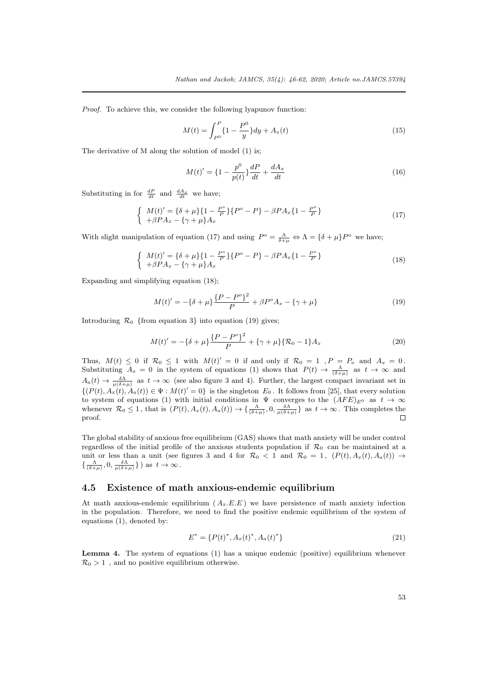*Proof.* To achieve this, we consider the following lyapunov function:

$$
M(t) = \int_{P^0}^{P} \{1 - \frac{P^0}{y}\} dy + A_x(t)
$$
\n(15)

The derivative of M along the solution of model (1) is;

$$
M(t)' = \left\{1 - \frac{p^0}{p(t)}\right\}\frac{dP}{dt} + \frac{dA_x}{dt}
$$
\n(16)

Substituting in for  $\frac{dP}{dt}$  and  $\frac{dA_x}{dt}$  we have;

$$
\begin{cases}\nM(t)' = \{\delta + \mu\} \{1 - \frac{P^o}{P}\} \{P^o - P\} - \beta P A_x \{1 - \frac{P^o}{P}\} \\
+\beta P A_x - \{\gamma + \mu\} A_x\n\end{cases} (17)
$$

With slight manipulation of equation (17) and using  $P^{\circ} = \frac{\Lambda}{\delta + \mu} \Leftrightarrow \Lambda = \{\delta + \mu\} P^{\circ}$  we have;

$$
\begin{cases}\nM(t)' = \{\delta + \mu\} \{1 - \frac{P^o}{P}\} \{P^o - P\} - \beta P A_x \{1 - \frac{P^o}{P}\} \\
+\beta P A_x - \{\gamma + \mu\} A_x\n\end{cases} (18)
$$

Expanding and simplifying equation (18);

$$
M(t)' = -\{\delta + \mu\} \frac{\{P - P^o\}^2}{P} + \beta P^o A_x - \{\gamma + \mu\}
$$
\n(19)

Introducing  $\mathcal{R}_0$  {from equation 3} into equation (19) gives;

$$
M(t)' = -\{\delta + \mu\} \frac{\{P - P^o\}^2}{P} + \{\gamma + \mu\} \{\mathcal{R}_0 - 1\} A_x \tag{20}
$$

Thus,  $M(t) \leq 0$  if  $\mathcal{R}_0 \leq 1$  with  $M(t)' = 0$  if and only if  $\mathcal{R}_0 = 1$ ,  $P = P_o$  and  $A_x = 0$ . Substituting  $A_x = 0$  in the system of equations (1) shows that  $P(t) \to \frac{\Lambda}{(\delta + \mu)}$  as  $t \to \infty$  and  $A_a(t) \to \frac{\delta \Lambda}{\mu(\delta + \mu)}$  as  $t \to \infty$  (see also figure 3 and 4). Further, the largest compact invariant set in  $\{(P(t), A_x(t), A_a(t)) \in \Psi : M(t)' = 0\}$  is the singleton  $E_0$ . It follows from [25], that every solution to system of equations (1) with initial conditions in  $\Psi$  converges to the  $(AFE)_{E^0}$  as  $t \to \infty$ whenever  $\mathcal{R}_0 \leq 1$ , that is  $(P(t), A_x(t), A_a(t)) \to \{\frac{\Lambda}{(\delta + \mu)}, 0, \frac{\delta \Lambda}{\mu(\delta + \mu)}\}\$ as  $t \to \infty$ . This completes the proof.  $\Box$ 

The global stability of anxious free equilibrium (GAS) shows that math anxiety will be under control regardless of the initial profile of the anxious students population if  $\mathcal{R}_0$  can be maintained at a unit or less than a unit (see figures 3 and 4 for  $\mathcal{R}_0 < 1$  and  $\mathcal{R}_0 = 1$ ,  $(P(t), A_x(t), A_a(t)) \rightarrow$  $\{\frac{\Lambda}{(\delta+\mu)}, 0, \frac{\delta\Lambda}{\mu(\delta+\mu)}\}\)$  as  $t \to \infty$ .

#### **4.5 Existence of math anxious-endemic equilibrium**

At math anxious-endemic equilibrium  $(A_x, E, E)$  we have persistence of math anxiety infection in the population. Therefore, we need to find the positive endemic equilibrium of the system of equations (1), denoted by:

$$
E^* = \{P(t)^*, A_x(t)^*, A_a(t)^*\}\tag{21}
$$

**Lemma 4.** The system of equations (1) has a unique endemic (positive) equilibrium whenever  $\mathcal{R}_0 > 1$ , and no positive equilibrium otherwise.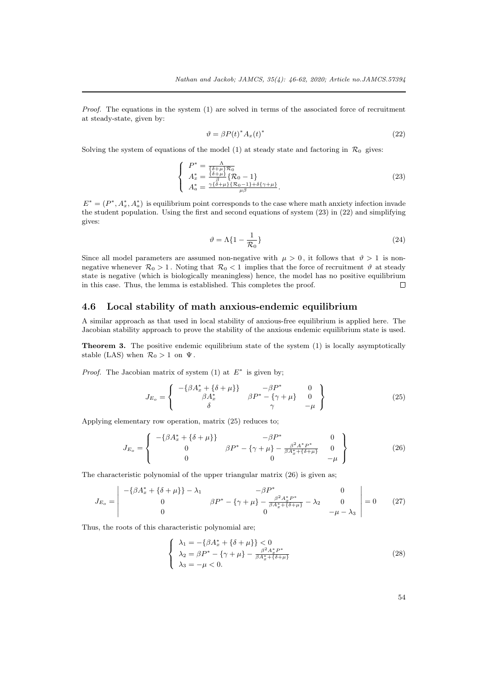*Proof.* The equations in the system (1) are solved in terms of the associated force of recruitment at steady-state, given by:

$$
\vartheta = \beta P(t)^* A_x(t)^* \tag{22}
$$

Solving the system of equations of the model (1) at steady state and factoring in  $\mathcal{R}_0$  gives:

$$
\begin{cases}\nP^* = \frac{\Lambda}{\{\delta + \mu\} \mathcal{R}_0} \\
A_x^* = \frac{\{\delta + \mu\}}{\beta} \{\mathcal{R}_0 - 1\} \\
A_a^* = \frac{\gamma \{\delta + \mu\} \{\mathcal{R}_0 - 1\} + \delta \{\gamma + \mu\}}{\mu \beta}.\n\end{cases} \tag{23}
$$

 $E^* = (P^*, A^*_x, A^*_a)$  is equilibrium point corresponds to the case where math anxiety infection invade the student population. Using the first and second equations of system (23) in (22) and simplifying gives:

$$
\vartheta = \Lambda \{ 1 - \frac{1}{\mathcal{R}_0} \} \tag{24}
$$

Since all model parameters are assumed non-negative with  $\mu > 0$ , it follows that  $\vartheta > 1$  is nonnegative whenever  $\mathcal{R}_0 > 1$ . Noting that  $\mathcal{R}_0 < 1$  implies that the force of recruitment  $\vartheta$  at steady state is negative (which is biologically meaningless) hence, the model has no positive equilibrium in this case. Thus, the lemma is established. This completes the proof.  $\Box$ 

### **4.6 Local stability of math anxious-endemic equilibrium**

A similar approach as that used in local stability of anxious-free equilibrium is applied here. The Jacobian stability approach to prove the stability of the anxious endemic equilibrium state is used.

**Theorem 3.** The positive endemic equilibrium state of the system (1) is locally asymptotically stable (LAS) when  $\mathcal{R}_0 > 1$  on  $\Psi$ .

*Proof.* The Jacobian matrix of system  $(1)$  at  $E^*$  is given by;

$$
J_{E_o} = \begin{Bmatrix} -\{\beta A_x^* + \{\delta + \mu\}\} & -\beta P^* & 0\\ \beta A_x^* & \beta P^* - \{\gamma + \mu\} & 0\\ \delta & \gamma & -\mu \end{Bmatrix}
$$
(25)

Applying elementary row operation, matrix (25) reduces to;

$$
J_{E_o} = \begin{Bmatrix} -\{\beta A_x^* + \{\delta + \mu\}\} & -\beta P^* & 0\\ 0 & \beta P^* - \{\gamma + \mu\} - \frac{\beta^2 A^* P^*}{\beta A_x^* + \{\delta + \mu\}} & 0\\ 0 & 0 & -\mu \end{Bmatrix}
$$
(26)

The characteristic polynomial of the upper triangular matrix (26) is given as;

$$
J_{E_o} = \begin{vmatrix} -\{\beta A_x^* + \{\delta + \mu\}\} - \lambda_1 & -\beta P^* & 0\\ 0 & \beta P^* - \{\gamma + \mu\} - \frac{\beta^2 A_x^* P^*}{\beta A_x^* + \{\delta + \mu\}} - \lambda_2 & 0\\ 0 & 0 & -\mu - \lambda_3 \end{vmatrix} = 0
$$
 (27)

Thus, the roots of this characteristic polynomial are;

$$
\begin{cases} \lambda_1 = -\{\beta A_x^* + \{\delta + \mu\}\} < 0\\ \lambda_2 = \beta P^* - \{\gamma + \mu\} - \frac{\beta^2 A_x^* P^*}{\beta A_x^* + \{\delta + \mu\}}\\ \lambda_3 = -\mu < 0. \end{cases} \tag{28}
$$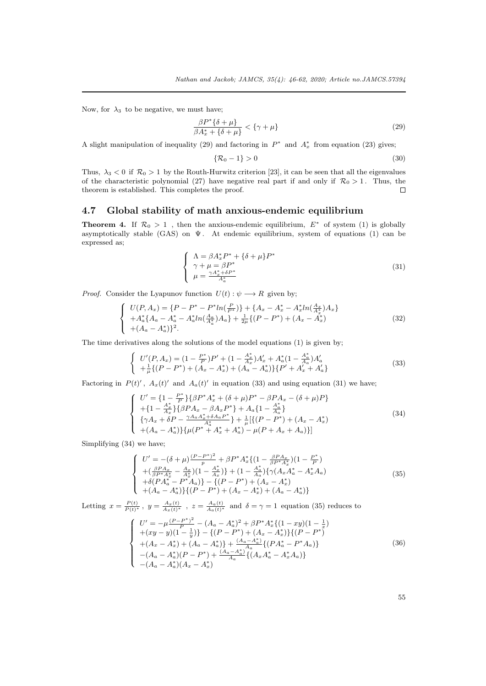Now, for  $\lambda_3$  to be negative, we must have;

$$
\frac{\beta P^*\{\delta+\mu\}}{\beta A_x^*+\{\delta+\mu\}} < \{\gamma+\mu\} \tag{29}
$$

A slight manipulation of inequality (29) and factoring in  $P^*$  and  $A_x^*$  from equation (23) gives;

$$
\{\mathcal{R}_0 - 1\} > 0\tag{30}
$$

Thus,  $\lambda_3 < 0$  if  $\mathcal{R}_0 > 1$  by the Routh-Hurwitz criterion [23], it can be seen that all the eigenvalues of the characteristic polynomial (27) have negative real part if and only if  $\mathcal{R}_0 > 1$ . Thus, the theorem is established. This completes the proof.  $\Box$ 

### **4.7 Global stability of math anxious-[end](#page-16-4)emic equilibrium**

**Theorem 4.** If  $\mathcal{R}_0 > 1$ , then the anxious-endemic equilibrium,  $E^*$  of system (1) is globally asymptotically stable (GAS) on  $\Psi$ . At endemic equilibrium, system of equations (1) can be expressed as;

$$
\begin{cases}\n\Lambda = \beta A_x^* P^* + \{\delta + \mu\} P^* \\
\gamma + \mu = \beta P^* \\
\mu = \frac{\gamma A_x^* + \delta P^*}{A_x^*}\n\end{cases}
$$
\n(31)

*Proof.* Consider the Lyapunov function  $U(t): \psi \longrightarrow R$  given by;

$$
\begin{cases}\nU(P, A_x) = \{P - P^* - P^* ln(\frac{P}{P^*})\} + \{A_x - A_x^* - A_x^* ln(\frac{A_x}{A_x^*}) A_x\} \\
+ A_a^* \{A_a - A_a^* - A_a^* ln(\frac{A_a}{A_a^*}) A_a\} + \frac{1}{2\mu} \{(P - P^*) + (A_x - A_x^*)\} \\
+ (A_a - A_a^*)\}^2.\n\end{cases} \tag{32}
$$

The time derivatives along the solutions of the model equations (1) is given by;

$$
\begin{cases}\nU'(P, A_x) = (1 - \frac{P^*}{P})P' + (1 - \frac{A_x^*}{A_x})A_x' + A_a^*(1 - \frac{A_a^*}{A_a})A_a' \\
+ \frac{1}{\mu} \{(P - P^*) + (A_x - A_x^*) + (A_a - A_a^*)\} \{P' + A_x' + A_a'\}\n\end{cases}
$$
\n(33)

Factoring in  $P(t)$ <sup>'</sup>,  $A_x(t)$ <sup>'</sup> and  $A_a(t)$ <sup>'</sup> in equation (33) and using equation (31) we have;

$$
\begin{cases}\nU' = \{1 - \frac{P^*}{P}\}\{\beta P^* A_x^* + (\delta + \mu)P^* - \beta P A_x - (\delta + \mu)P\} \\
+ \{1 - \frac{A_x^*}{A_x}\}\{\beta P A_x - \beta A_x P^*\} + A_a \{1 - \frac{A_a^*}{A_a}\} \\
\{\gamma A_x + \delta P - \frac{\gamma A_a A_x^* + \delta A_a P^*}{A_x^*}\} + \frac{1}{\mu} [\{(P - P^*) + (A_x - A_x^*)\} \\
+ (A_a - A_a^*)\}\{\mu (P^* + A_x^* + A_a^*) - \mu (P + A_x + A_a)\}\]\n\end{cases} \tag{34}
$$

Simplifying (34) we have;

$$
\begin{cases}\nU' = -(\delta + \mu) \frac{(P - P^*)^2}{p} + \beta P^* A_x^* \{ (1 - \frac{\beta P A_x}{\beta P^* A_x^*}) (1 - \frac{P^*}{P}) \\
+ (\frac{\beta P A_x}{\beta P^* A_x^*} - A_x^*) (1 - \frac{A_x^*}{A_x}) \} + (1 - \frac{A_x^*}{A_a}) \{ \gamma (A_x A_x^* - A_x^* A_a) \\
+ \delta (P A_x^* - P^* A_a) \} - \{ (P - P^*) + (A_x - A_x^*) \\
+ (A_a - A_a^*) \} \{ (P - P^*) + (A_x - A_x^*) + (A_a - A_a^*) \}\n\end{cases} \tag{35}
$$

Letting  $x = \frac{P(t)}{P(t)^*}$ ,  $y = \frac{A_x(t)}{A_x(t)^*}$ ,  $z = \frac{A_a(t)}{A_a(t)^*}$  and  $\delta = \gamma = 1$  equation (35) reduces to

$$
\begin{cases}\nU' = -\mu \frac{(P - P^*)^2}{P} - (A_a - A_a^*)^2 + \beta P^* A_x^* \{ (1 - xy)(1 - \frac{1}{x}) \\
+ (xy - y)(1 - \frac{1}{y}) \} - \{ (P - P^*) + (A_x - A_x^*) \} \{ (P - P^*) \\
+ (A_x - A_x^*) + (A_a - A_a^*) \} + \frac{(A_a - A_a^*)}{A_a} \{ (P A_a^* - P^* A_a) \} \\
- (A_a - A_a^*)(P - P^*) + \frac{(A_a - A_a^*)}{A_a} \{ (A_x A_a^* - A_x^* A_a) \} \\
- (A_a - A_a^*)(A_x - A_x^*)\n\end{cases} \tag{36}
$$

55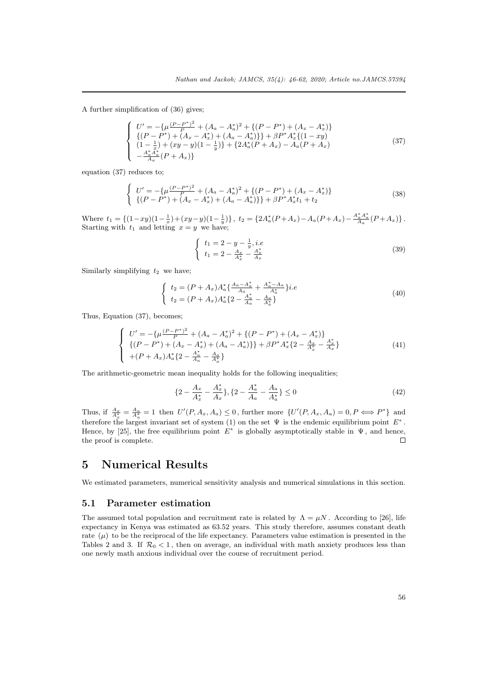A further simplification of (36) gives;

$$
\begin{cases}\nU' = -\{\mu \frac{(P - P^*)^2}{P} + (A_a - A_a^*)^2 + \{(P - P^*) + (A_x - A_x^*)\} \\
\{(P - P^*) + (A_x - A_x^*) + (A_a - A_a^*)\}\} + \beta P^* A_x^* \{(1 - xy) \\
(1 - \frac{1}{x}) + (xy - y)(1 - \frac{1}{y})\} + \{2A_a^*(P + A_x) - A_a(P + A_x) \\
-\frac{A_a^* A_a^*}{A_a}(P + A_x)\}\n\end{cases} \tag{37}
$$

equation (37) reduces to;

$$
\begin{cases}\nU' = -\{\mu \frac{(P - P^*)^2}{P} + (A_a - A_a^*)^2 + \{(P - P^*) + (A_x - A_x^*)\} \\
\{(P - P^*) + (A_x - A_x^*) + (A_a - A_a^*)\}\} + \beta P^* A_x^* t_1 + t_2\n\end{cases}
$$
\n(38)

Where  $t_1 = \left\{ (1 - xy)(1 - \frac{1}{x}) + (xy - y)(1 - \frac{1}{y}) \right\}$ ,  $t_2 = \left\{ 2A_a^*(P + A_x) - A_a(P + A_x) - \frac{A_a^* A_a^*}{A_a}(P + A_x) \right\}$ . Starting with  $t_1$  and letting  $x = y$  we have;

$$
\begin{cases} t_1 = 2 - y - \frac{1}{y}, i.e \\ t_1 = 2 - \frac{A_x}{A_x^*} - \frac{A_x^*}{A_x} \end{cases}
$$
 (39)

Similarly simplifying  $t_2$  we have;

$$
\begin{cases}\n t_2 = (P + A_x) A_a^* \left\{ \frac{A_a - A_a^*}{A_a} + \frac{A_a^* - A_a}{A_a^*} \right\} i.e \\
 t_2 = (P + A_x) A_a^* \left\{ 2 - \frac{A_a^*}{A_a} - \frac{A_a}{A_a^*} \right\}\n\end{cases} \tag{40}
$$

Thus, Equation (37), becomes;

$$
\begin{cases}\nU' = -\{\mu \frac{(P - P^*)^2}{P} + (A_a - A_a^*)^2 + \{(P - P^*) + (A_x - A_x^*)\} \\
\{(P - P^*) + (A_x - A_x^*) + (A_a - A_a^*)\}\} + \beta P^* A_x^* \{2 - \frac{A_x^*}{A_x^*} - \frac{A_x^*}{A_x}\} \\
+(P + A_x) A_a^* \{2 - \frac{A_a^*}{A_a} - \frac{A_a}{A_a^*}\}\n\end{cases}
$$
\n(41)

The arithmetic-geometric mean inequality holds for the following inequalities;

$$
\{2 - \frac{A_x}{A_x^*} - \frac{A_x^*}{A_x}\}, \{2 - \frac{A_a^*}{A_a} - \frac{A_a}{A_a^*}\} \le 0
$$
\n<sup>(42)</sup>

Thus, if  $\frac{A_x}{A_x^*} = \frac{A_a}{A_a^*} = 1$  then  $U'(P, A_x, A_a) \leq 0$ , further more  $\{U'(P, A_x, A_a) = 0, P \Longleftrightarrow P^*\}\$ and therefore the largest invariant set of system (1) on the set  $\Psi$  is the endemic equilibrium point  $E^*$ . Hence, by [25], the free equilibrium point  $E^*$  is globally asymptotically stable in  $\Psi$ , and hence, the proof is complete.  $\Box$ 

## **5 Nu[m](#page-16-6)erical Results**

We estimated parameters, numerical sensitivity analysis and numerical simulations in this section.

#### **5.1 Parameter estimation**

The assumed total population and recruitment rate is related by  $\Lambda = \mu N$ . According to [26], life expectancy in Kenya was estimated as 63.52 years. This study therefore, assumes constant death rate  $(\mu)$  to be the reciprocal of the life expectancy. Parameters value estimation is presented in the Tables 2 and 3. If  $\mathcal{R}_0 < 1$ , then on average, an individual with math anxiety produces less than one newly math anxious individual over the course of recruitment period.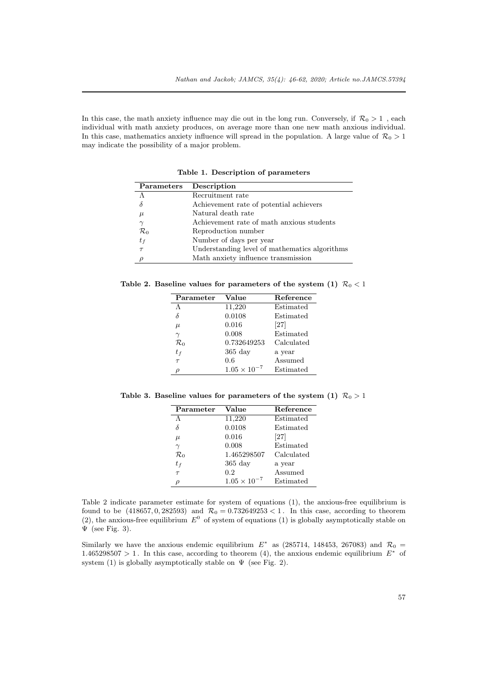In this case, the math anxiety influence may die out in the long run. Conversely, if  $\mathcal{R}_0 > 1$  , each individual with math anxiety produces, on average more than one new math anxious individual. In this case, mathematics anxiety influence will spread in the population. A large value of  $\mathcal{R}_0 > 1$ may indicate the possibility of a major problem.

| Parameters      | Description                                   |
|-----------------|-----------------------------------------------|
|                 | Recruitment rate                              |
| $\delta$        | Achievement rate of potential achievers       |
| $\mu$           | Natural death rate                            |
|                 | Achievement rate of math anxious students     |
| $\mathcal{R}_0$ | Reproduction number                           |
| $t_f$           | Number of days per year                       |
| $\tau$          | Understanding level of mathematics algorithms |
|                 | Math anxiety influence transmission           |

**Table 1. Description of parameters**

**Table 2. Baseline values for parameters of the system (1)**  $\mathcal{R}_0 < 1$ 

| Parameter       | Value                 | Reference  |
|-----------------|-----------------------|------------|
| Λ               | 11,220                | Estimated  |
| δ               | 0.0108                | Estimated  |
| $\mu$           | 0.016                 | [27]       |
| $\gamma$        | 0.008                 | Estimated  |
| $\mathcal{R}_0$ | 0.732649253           | Calculated |
| $t_f$           | $365$ day             | a year     |
| $\tau$          | 0.6                   | Assumed    |
|                 | $1.05 \times 10^{-7}$ | Estimated  |

**Table 3. Baseline values for parameters of the system (1)**  $\mathcal{R}_0 > 1$ 

| Parameter       | Value                 | Reference  |
|-----------------|-----------------------|------------|
| Λ               | 11,220                | Estimated  |
| δ               | 0.0108                | Estimated  |
| $\mu$           | 0.016                 | [27]       |
| $\gamma$        | 0.008                 | Estimated  |
| $\mathcal{R}_0$ | 1.465298507           | Calculated |
| $t_f$           | $365$ day             | a year     |
| $\tau$          | 0.2                   | Assumed    |
|                 | $1.05 \times 10^{-7}$ | Estimated  |

Table 2 indicate parameter estimate for system of equations (1), the anxious-free equilibrium is found to be  $(418657, 0, 282593)$  and  $\mathcal{R}_0 = 0.732649253 < 1$ . In this case, according to theorem  $(2)$ , the anxious-free equilibrium  $E^0$  of system of equations (1) is globally asymptotically stable on  $\Psi$  (see Fig. 3).

Similarly we have the anxious endemic equilibrium  $E^*$  as (285714, 148453, 267083) and  $\mathcal{R}_0$  = 1.465298507 > 1. In this case, according to theorem (4), the anxious endemic equilibrium  $E^*$  of system (1) is globally asymptotically stable on  $\Psi$  (see Fig. 2).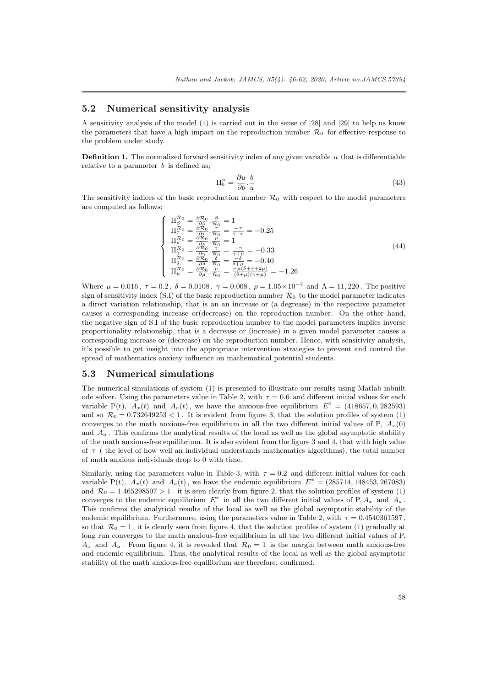#### **5.2 Numerical sensitivity analysis**

A sensitivity analysis of the model (1) is carried out in the sense of [28] and [29] to help us know the parameters that have a high impact on the reproduction number  $\mathcal{R}_0$  for effective response to the problem under study.

**Definition 1.** The normalized forward sensitivity index of any given variable *u* that is differentiable relative to a parameter *b* is defined as;

$$
\Pi_b^u = \frac{\partial u}{\partial b} \cdot \frac{b}{u} \tag{43}
$$

The sensitivity indices of the basic reproduction number  $\mathcal{R}_0$  with respect to the model parameters are computed as follows:

$$
\begin{cases}\n\Pi_{\beta}^{\mathcal{R}_0} = \frac{\partial \mathcal{R}_0}{\partial \beta} \cdot \frac{\beta}{\mathcal{R}_0} = 1 \\
\Pi_{\tau}^{\mathcal{R}_0} = \frac{\partial \mathcal{R}_0}{\partial \tau} \cdot \frac{\tau}{\mathcal{R}_0} = \frac{-\tau}{1-\tau} = -0.25 \\
\Pi_{\rho}^{\mathcal{R}_0} = \frac{\partial \mathcal{R}_0}{\partial \rho} \cdot \frac{\rho}{\mathcal{R}_0} = 1 \\
\Pi_{\gamma}^{\mathcal{R}_0} = \frac{\partial \mathcal{R}_0}{\partial \gamma} \cdot \frac{\gamma}{\mathcal{R}_0} = \frac{-\gamma}{\gamma + \mu} = -0.33 \\
\Pi_{\delta}^{\mathcal{R}_0} = \frac{\partial \mathcal{R}_0}{\partial \delta} \cdot \frac{\delta}{\mathcal{R}_0} = \frac{-\delta}{\delta + \mu} = -0.40 \\
\Pi_{\mu}^{\mathcal{R}_0} = \frac{\partial \mathcal{R}_0}{\partial \delta} \cdot \frac{\mu}{\mathcal{R}_0} = \frac{-\delta}{\delta + \mu} \frac{-\delta + \mu}{(\delta + \mu)(\gamma + \mu)} = -1.26\n\end{cases} (44)
$$

Where  $μ = 0.016$ ,  $τ = 0.2$ ,  $δ = 0.0108$ ,  $γ = 0.008$ ,  $ρ = 1.05 × 10<sup>-7</sup>$  and  $Λ = 11,220$ . The positive sign of sensitivity index  $(S,I)$  of the basic reproduction number  $\mathcal{R}_0$  to the model parameter indicates a direct variation relationship, that is an an increase or (a degrease) in the respective parameter causes a corresponding increase or(decrease) on the reproduction number. On the other hand, the negative sign of S.I of the basic reproduction number to the model parameters implies inverse proportionality relationship, that is a decrease or (increase) in a given model parameter causes a corresponding increase or (decrease) on the reproduction number. Hence, with sensitivity analysis, it's possible to get insight into the appropriate intervention strategies to prevent and control the spread of mathematics anxiety influence on mathematical potential students.

#### **5.3 Numerical simulations**

The numerical simulations of system (1) is presented to illustrate our results using Matlab inbuilt ode solver. Using the parameters value in Table 2, with  $\tau = 0.6$  and different initial values for each variable P(t),  $A_x(t)$  and  $A_a(t)$ , we have the anxious-free equilibrium  $E^0 = (418657, 0, 282593)$ and so  $\mathcal{R}_0 = 0.732649253 < 1$ . It is evident from figure 3, that the solution profiles of system (1) converges to the math anxious-free equilibrium in all the two different initial values of P,  $A_x(0)$ and  $A_a$ . This confirms the analytical results of the local as well as the global asymptotic stability of the math anxious-free equilibrium. It is also evident from the figure 3 and 4, that with high value of *τ* ( the level of how well an individual understands mathematics algorithms), the total number of math anxious individuals drop to 0 with time.

Similarly, using the parameters value in Table 3, with  $\tau = 0.2$  and different initial values for each variable P(t),  $A_x(t)$  and  $A_a(t)$ , we have the endemic equilibrium  $E^* = (285714, 148453, 267083)$ and  $\mathcal{R}_0 = 1.465298507 > 1$ . it is seen clearly from figure 2, that the solution profiles of system (1) converges to the endemic equilibrium  $E^*$  in all the two different initial values of P,  $A_x$  and  $A_a$ . This confirms the analytical results of the local as well as the global asymptotic stability of the endemic equilibrium. Furthermore, using the parameters value in Table 2, with  $\tau = 0.4540361597$ , so that  $\mathcal{R}_0 = 1$ , it is clearly seen from figure 4, that the solution profiles of system (1) gradually at long run converges to the math anxious-free equilibrium in all the two different initial values of P,  $A_x$  and  $A_a$ . From figure 4, it is revealed that  $\mathcal{R}_0 = 1$  is the margin between math anxious-free and endemic equilibrium. Thus, the analytical results of the local as well as the global asymptotic stability of the math anxious-free equilibrium are therefore, confirmed.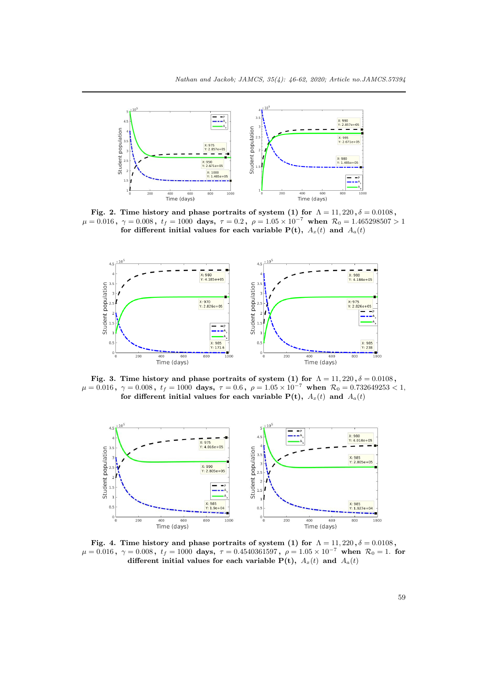

**Fig. 2. Time history and phase portraits of system (1) for**  $\Lambda = 11,220$  ,  $\delta = 0.0108$  ,  $\mu=0.016\,,\,\,\gamma=0.008\,,\,\,t_f=1000\,\,\,{\rm days},\,\,\tau=0.2\,,\,\,\rho=1.05\times 10^{-7}\,\,\,{\rm when}\,\,\,{\cal R}_0=1.465298507>1$ for different initial values for each variable  $P(t)$ ,  $A_x(t)$  and  $A_a(t)$ 



**Fig. 3. Time history and phase portraits of system (1) for**  $\Lambda = 11,220$  ,  $\delta = 0.0108$  ,  $\mu=0.016\,,\,\,\gamma=0.008\,,\,\,t_f=1000\,\,\,{\rm days},\,\,\tau=0.6\,,\,\,\rho=1.05\times 10^{-7}\,\,\,{\rm when}\,\,\,{\cal R}_0=0.732649253< 1,$ for different initial values for each variable  $P(t)$ ,  $A_x(t)$  and  $A_a(t)$ 



**Fig. 4. Time history and phase portraits of system (1) for**  $\Lambda = 11,220$  ,  $\delta = 0.0108$  ,  $\mu=0.016\,,\,\,\gamma=0.008\,,\,\,t_f=1000\,\,\,{\rm days},\,\,\tau=0.4540361597\,,\,\,\rho=1.05\times{10}^{-7}\,\,\,{\rm when}\,\,\,{\cal R}_0=1.\,\,$  for **different initial values for each variable**  $P(t)$ **,**  $A_x(t)$  and  $A_a(t)$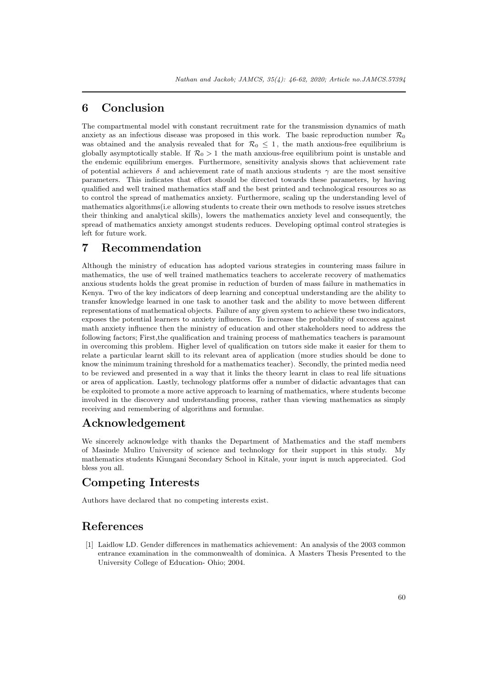# **6 Conclusion**

The compartmental model with constant recruitment rate for the transmission dynamics of math anxiety as an infectious disease was proposed in this work. The basic reproduction number  $\mathcal{R}_0$ was obtained and the analysis revealed that for  $\mathcal{R}_0 \leq 1$ , the math anxious-free equilibrium is globally asymptotically stable. If  $\mathcal{R}_0 > 1$  the math anxious-free equilibrium point is unstable and the endemic equilibrium emerges. Furthermore, sensitivity analysis shows that achievement rate of potential achievers  $\delta$  and achievement rate of math anxious students  $\gamma$  are the most sensitive parameters. This indicates that effort should be directed towards these parameters, by having qualified and well trained mathematics staff and the best printed and technological resources so as to control the spread of mathematics anxiety. Furthermore, scaling up the understanding level of mathematics algorithms(i.e allowing students to create their own methods to resolve issues stretches their thinking and analytical skills), lowers the mathematics anxiety level and consequently, the spread of mathematics anxiety amongst students reduces. Developing optimal control strategies is left for future work.

# **7 Recommendation**

Although the ministry of education has adopted various strategies in countering mass failure in mathematics, the use of well trained mathematics teachers to accelerate recovery of mathematics anxious students holds the great promise in reduction of burden of mass failure in mathematics in Kenya. Two of the key indicators of deep learning and conceptual understanding are the ability to transfer knowledge learned in one task to another task and the ability to move between different representations of mathematical objects. Failure of any given system to achieve these two indicators, exposes the potential learners to anxiety influences. To increase the probability of success against math anxiety influence then the ministry of education and other stakeholders need to address the following factors; First,the qualification and training process of mathematics teachers is paramount in overcoming this problem. Higher level of qualification on tutors side make it easier for them to relate a particular learnt skill to its relevant area of application (more studies should be done to know the minimum training threshold for a mathematics teacher). Secondly, the printed media need to be reviewed and presented in a way that it links the theory learnt in class to real life situations or area of application. Lastly, technology platforms offer a number of didactic advantages that can be exploited to promote a more active approach to learning of mathematics, where students become involved in the discovery and understanding process, rather than viewing mathematics as simply receiving and remembering of algorithms and formulae.

# **Acknowledgement**

We sincerely acknowledge with thanks the Department of Mathematics and the staff members of Masinde Muliro University of science and technology for their support in this study. My mathematics students Kiungani Secondary School in Kitale, your input is much appreciated. God bless you all.

# **Competing Interests**

Authors have declared that no competing interests exist.

# **References**

<span id="page-14-0"></span>[1] Laidlow LD. Gender differences in mathematics achievement: An analysis of the 2003 common entrance examination in the commonwealth of dominica. A Masters Thesis Presented to the University College of Education- Ohio; 2004.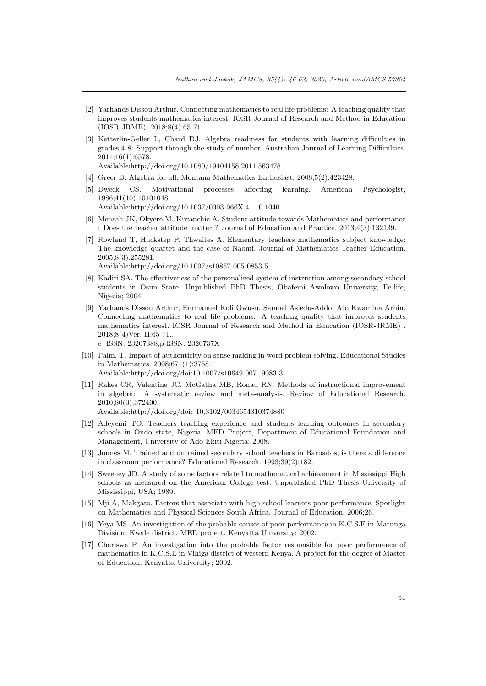- <span id="page-15-0"></span>[2] Yarhands Dissou Arthur. Connecting mathematics to real life problems: A teaching quality that improves students mathematics interest. IOSR Journal of Research and Method in Education (IOSR-JRME). 2018;8(4):65-71.
- <span id="page-15-1"></span>[3] Ketterlin-Geller L, Chard DJ. Algebra readiness for students with learning difficulties in grades 4-8: Support through the study of number. Australian Journal of Learning Difficulties. 2011;16(1):6578.

Available:http://doi.org/10.1080/19404158.2011.563478

- <span id="page-15-2"></span>[4] Greer B. Algebra for all. Montana Mathematics Enthusiast. 2008;5(2):423428.
- <span id="page-15-3"></span>[5] Dweck CS. Motivational processes affecting learning. American Psychologist, 1986;41(10):10401048. Available:http://doi.org/10.1037/0003-066X.41.10.1040
- <span id="page-15-4"></span>[6] Mensah JK, Okyere M, Kuranchie A. Student attitude towards Mathematics and performance : Does the teacher attitude matter ? Journal of Education and Practice. 2013;4(3):132139.
- <span id="page-15-5"></span>[7] Rowland T, Huckstep P, Thwaites A. Elementary teachers mathematics subject knowledge: The knowledge quartet and the case of Naomi. Journal of Mathematics Teacher Education. 2005;8(3):255281. Available:http://doi.org/10.1007/s10857-005-0853-5
- <span id="page-15-6"></span>[8] Kadiri.SA. The effectiveness of the personalized system of instruction among secondary school students in Osun State. Unpublished PhD Thesis, Obafemi Awolowo University, Ile-life, Nigeria; 2004.
- <span id="page-15-7"></span>[9] Yarhands Dissou Arthur, Emmanuel Kofi Owusu, Samuel Asiedu-Addo, Ato Kwamina Arhin. Connecting mathematics to real life problems: A teaching quality that improves students mathematics interest. IOSR Journal of Research and Method in Education (IOSR-JRME) . 2018;8(4)Ver. II:65-71..

e- ISSN: 23207388,p-ISSN: 2320737X

- [10] Palm, T. Impact of authenticity on sense making in word problem solving. Educational Studies in Mathematics. 2008;671(1):3758. Available:http://doi.org/doi:10.1007/s10649-007- 9083-3
- [11] Rakes CR, Valentine JC, McGatha MB, Ronau RN. Methods of instructional improvement in algebra: A systematic review and meta-analysis. Review of Educational Research. 2010;80(3):372400. Available:http://doi.org/doi: 10.3102/0034654310374880
- <span id="page-15-8"></span>[12] Adeyemi TO. Teachers teaching experience and students learning outcomes in secondary schools in Ondo state, Nigeria. MED Project, Department of Educational Foundation and Management, University of Ado-Ekiti-Nigeria; 2008.
- [13] Jonnes M. Trained and untrained secondary school teachers in Barbados, is there a difference in classroom performance? Educational Research. 1993;39(2):182.
- <span id="page-15-9"></span>[14] Sweeney JD. A study of some factors related to mathematical achievement in Mississippi High schools as measured on the American College test. Unpublished PhD Thesis University of Mississippi, USA; 1989.
- <span id="page-15-10"></span>[15] Mji A, Makgato. Factors that associate with high school learners poor performance. Spotlight on Mathematics and Physical Sciences South Africa. Journal of Education. 2006;26.
- <span id="page-15-11"></span>[16] Yeya MS. An investigation of the probable causes of poor performance in K.C.S.E in Matunga Division. Kwale district, MED project, Kenyatta University; 2002.
- <span id="page-15-12"></span>[17] Chariswa P. An investigation into the probable factor responsible for poor performance of mathematics in K.C.S.E in Vihiga district of western Kenya. A project for the degree of Master of Education. Kenyatta University; 2002.